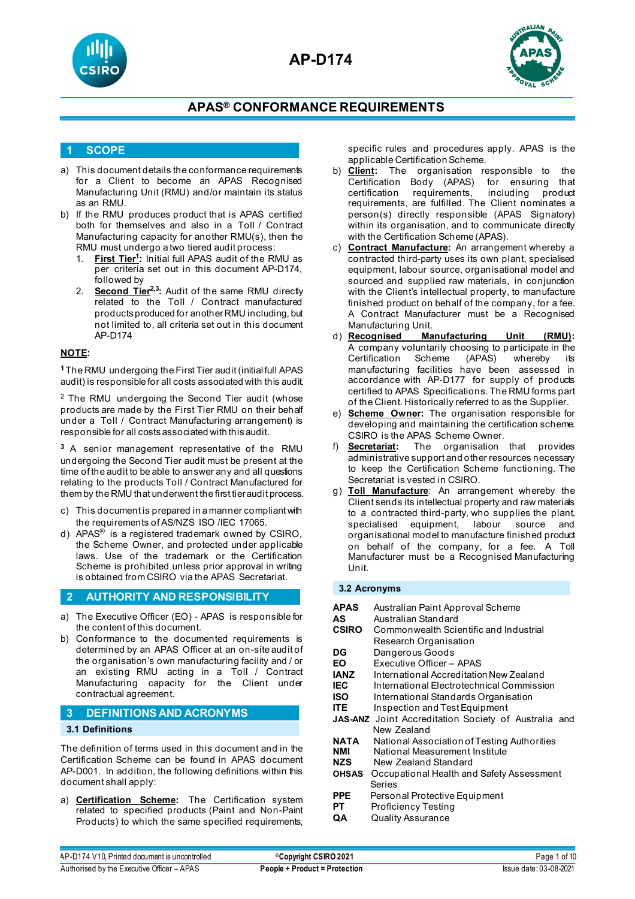



#### **1 SCOPE**

- a) This document details the conformance requirements for a Client to become an APAS Recognised Manufacturing Unit (RMU) and/or maintain its status as an RMU.
- b) If the RMU produces product that is APAS certified both for themselves and also in a Toll / Contract Manufacturing capacity for another RMU(s), then the RMU must undergo a two tiered audit process:
	- 1. **First Tier1 :** Initial full APAS audit of the RMU as per criteria set out in this document AP-D174, followed by
	- 2. **Second Tier<sup>2,3</sup>:** Audit of the same RMU directly related to the Toll / Contract manufactured products produced for another RMU including, but not limited to, all criteria set out in this document AP-D174

#### **NOTE:**

**<sup>1</sup>**The RMU undergoing the First Tier audit (initial full APAS audit) is responsible for all costs associated with this audit.

<sup>2</sup> The RMU undergoing the Second Tier audit (whose products are made by the First Tier RMU on their behalf under a Toll / Contract Manufacturing arrangement) is responsible for all costs associated with this audit.

**<sup>3</sup>** A senior management representative of the RMU undergoing the Second Tier audit must be present at the time of the audit to be able to answer any and all questions relating to the products Toll / Contract Manufactured for them by the RMU that underwent the first tier audit process.

- c) This document is prepared in a manner compliant with the requirements of AS/NZS ISO /IEC 17065.
- d) APAS<sup>®</sup> is a registered trademark owned by CSIRO, the Scheme Owner, and protected under applicable laws. Use of the trademark or the Certification Scheme is prohibited unless prior approval in writing is obtained from CSIRO via the APAS Secretariat.

#### **2 AUTHORITY AND RESPONSIBILITY**

- a) The Executive Officer (EO) APAS is responsible for the content of this document.
- b) Conformance to the documented requirements is determined by an APAS Officer at an on-site audit of the organisation's own manufacturing facility and / or an existing RMU acting in a Toll / Contract Manufacturing capacity for the Client under contractual agreement.

#### **3 DEFINITIONS AND ACRONYMS**

#### **3.1 Definitions**

The definition of terms used in this document and in the Certification Scheme can be found in APAS document AP-D001. In addition, the following definitions within this document shall apply:

a) **Certification Scheme:** The Certification system related to specified products (Paint and Non-Paint Products) to which the same specified requirements, specific rules and procedures apply. APAS is the applicable Certification Scheme.

- b) **Client:** The organisation responsible to the Certification Body (APAS) for ensuring that<br>certification requirements, including product certification requirements, including product requirements, are fulfilled. The Client nominates a person(s) directly responsible (APAS Signatory) within its organisation, and to communicate directly with the Certification Scheme (APAS).
- c) **Contract Manufacture:** An arrangement whereby a contracted third-party uses its own plant, specialised equipment, labour source, organisational model and sourced and supplied raw materials, in conjunction with the Client's intellectual property, to manufacture finished product on behalf of the company, for a fee. A Contract Manufacturer must be a Recognised Manufacturing Unit.<br>d) **Recognised** Ma
- **Manufacturing Unit (RMU):** A company voluntarily choosing to participate in the Certification Scheme (APAS) whereby its manufacturing facilities have been assessed in accordance with AP-D177 for supply of products certified to APAS Specifications. The RMU forms part of the Client. Historically referred to as the Supplier.
- e) **Scheme Owner:** The organisation responsible for developing and maintaining the certification scheme. CSIRO is the APAS Scheme Owner.
- f) **Secretariat:** The organisation that provides administrative support and other resources necessary to keep the Certification Scheme functioning. The Secretariat is vested in CSIRO.
- g) **Toll Manufacture**: An arrangement whereby the Client sends its intellectual property and raw materials to a contracted third-party, who supplies the plant, specialised equipment, labour source and organisational model to manufacture finished product on behalf of the company, for a fee. A Toll Manufacturer must be a Recognised Manufacturing Unit.

#### **3.2 Acronyms**

- **APAS** Australian Paint Approval Scheme
- **AS** Australian Standard<br>**CSIRO** Commonwealth Scie
- **Commonwealth Scientific and Industrial** Research Organisation
- **DG** Dangerous Goods<br> **FO** Executive Officer –
- **Executive Officer APAS**
- **IANZ** International Accreditation New Zealand
- **IEC** International Electrotechnical Commission<br>**ISO** International Standards Organisation
- **ISO** International Standards Organisation<br>**ITE** Inspection and Test Fquinment
- **Inspection and Test Equipment**
- **JAS-ANZ** Joint Accreditation Society of Australia and New Zealand<br>NATA National Asso
- **NATA** National Association of Testing Authorities
- **NMI** National Measurement Institute<br>**NZS** New Zealand Standard
- **NZS** New Zealand Standard<br>**OHSAS** Occupational Health and
- **Occupational Health and Safety Assessment** Series
- **PPE** Personal Protective Equipment<br>**PT** Proficiency Testing
- **Proficiency Testing**
- **QA** Quality Assurance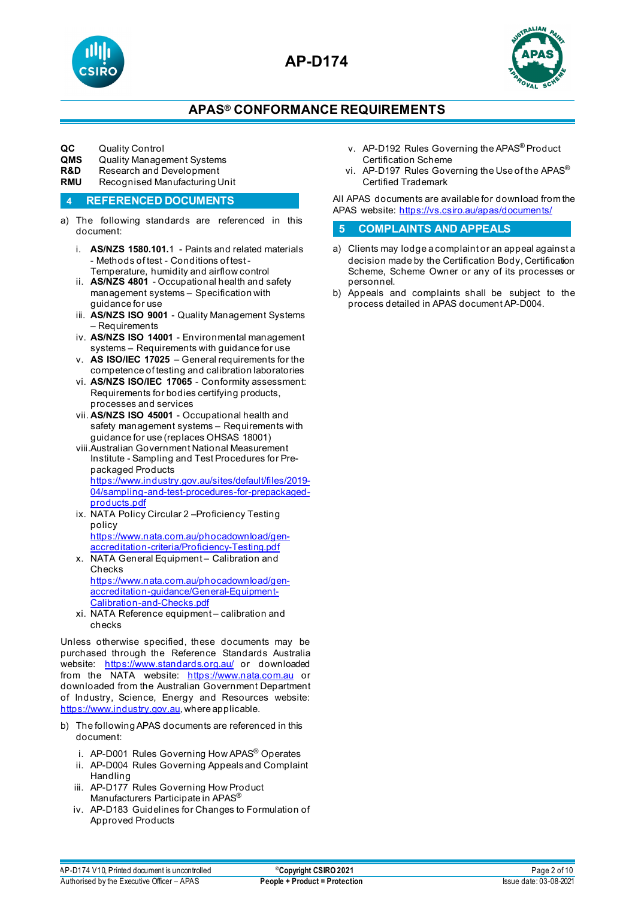



### **APAS® CONFORMANCE REQUIREMENTS**

# **QC** Quality Control<br>**QMS** Quality Manage

- **QMS** Quality Management Systems<br>**R&D** Research and Development
- **R&D** Research and Development<br>**RMU** Recognised Manufacturing L
- **Recognised Manufacturing Unit**

#### **4 REFERENCED DOCUMENTS**

- a) The following standards are referenced in this document:
	- i. **AS/NZS 1580.101.**1 [Paints and related materials](https://www.saiglobal.com/online/Script/Details.asp?DocN=stds000023740)  - Methods of test - [Conditions of test -](https://www.saiglobal.com/online/Script/Details.asp?DocN=stds000023740) [Temperature, humidity and airflow control](https://www.saiglobal.com/online/Script/Details.asp?DocN=stds000023740)
	- ii. **AS/NZS 4801** Occupational health and safety management systems – Specification with guidance for use
	- iii. **AS/NZS ISO 9001** Quality Management Systems – Requirements
	- iv. **AS/NZS ISO 14001** Environmental management systems – Requirements with guidance for use
	- v. **AS ISO/IEC 17025** General requirements for the competence of testing and calibration laboratories
	- vi. **AS/NZS ISO/IEC 17065** Conformity assessment: Requirements for bodies certifying products, processes and services
	- vii. **AS/NZS ISO 45001** Occupational health and safety management systems – Requirements with guidance for use (replaces OHSAS 18001)
	- viii.Australian Government National Measurement Institute - Sampling and Test Procedures for Prepackaged Products [https://www.industry.gov.au/sites/default/files/2019-](https://www.industry.gov.au/sites/default/files/2019-04/sampling-and-test-procedures-for-prepackaged-products.pdf) [04/sampling-and-test-procedures-for-prepackaged](https://www.industry.gov.au/sites/default/files/2019-04/sampling-and-test-procedures-for-prepackaged-products.pdf)[products.pdf](https://www.industry.gov.au/sites/default/files/2019-04/sampling-and-test-procedures-for-prepackaged-products.pdf)
	- ix. NATA Policy Circular 2 –Proficiency Testing policy [https://www.nata.com.au/phocadownload/gen-](https://www.nata.com.au/phocadownload/gen-accreditation-criteria/Proficiency-Testing.pdf)
	- [accreditation-criteria/Proficiency-Testing.pdf](https://www.nata.com.au/phocadownload/gen-accreditation-criteria/Proficiency-Testing.pdf) x. NATA General Equipment – Calibration and Checks [https://www.nata.com.au/phocadownload/gen](https://www.nata.com.au/phocadownload/gen-accreditation-guidance/General-Equipment-Calibration-and-Checks.pdf)[accreditation-guidance/General-Equipment-](https://www.nata.com.au/phocadownload/gen-accreditation-guidance/General-Equipment-Calibration-and-Checks.pdf)[Calibration-and-Checks.pdf](https://www.nata.com.au/phocadownload/gen-accreditation-guidance/General-Equipment-Calibration-and-Checks.pdf)
	- xi. NATA Reference equipment calibration and checks

Unless otherwise specified, these documents may be purchased through the Reference Standards Australia website: <https://www.standards.org.au/> or downloaded from the NATA website: [https://www.nata.com.au](https://www.nata.com.au/) or downloaded from the Australian Government Department of Industry, Science, Energy and Resources website: [https://www.industry.gov.au,](https://www.industry.gov.au/) where applicable.

- b) The following APAS documents are referenced in this document:
	- i. AP-D001 Rules Governing How APAS® Operates
	- ii. AP-D004 Rules Governing Appeals and Complaint Handling
	- iii. AP-D177 Rules Governing How Product Manufacturers Participate in APAS®
	- iv. AP-D183 Guidelines for Changes to Formulation of Approved Products
- v. AP-D192 Rules Governing the APAS® Product Certification Scheme
- vi. AP-D197 Rules Governing the Use of the APAS® Certified Trademark

All APAS documents are available for download from the APAS website:<https://vs.csiro.au/apas/documents/>

#### **5 COMPLAINTS AND APPEALS**

- a) Clients may lodge a complaint or an appeal against a decision made by the Certification Body, Certification Scheme, Scheme Owner or any of its processes or personnel.
- b) Appeals and complaints shall be subject to the process detailed in APAS document AP-D004.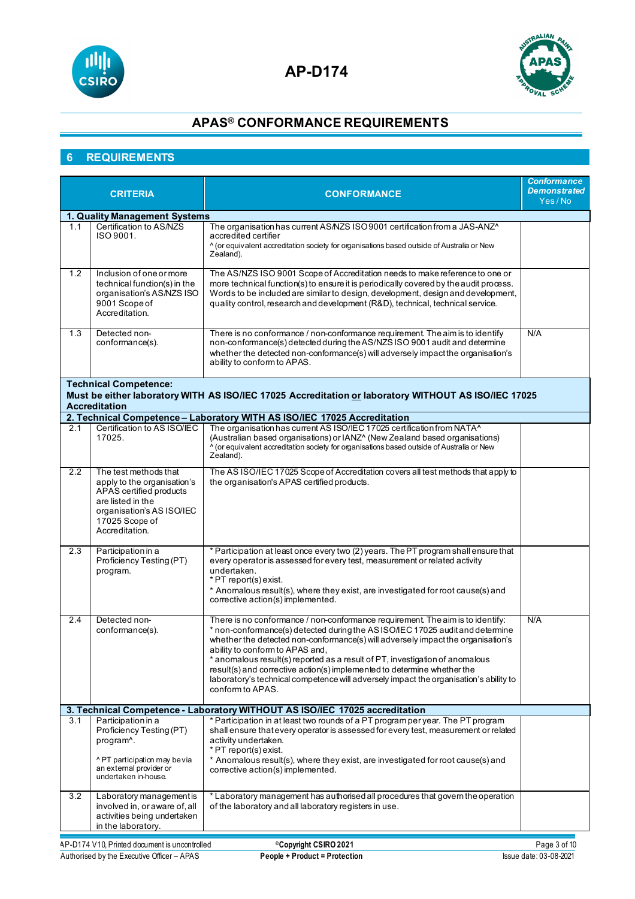



### **6 REQUIREMENTS**

| <b>CRITERIA</b> |                                                                                                                                                                       | <b>CONFORMANCE</b>                                                                                                                                                                                                                                                                                                                                                                                                                                                                                                                                            | <b>Conformance</b><br><b>Demonstrated</b><br>Yes/No |
|-----------------|-----------------------------------------------------------------------------------------------------------------------------------------------------------------------|---------------------------------------------------------------------------------------------------------------------------------------------------------------------------------------------------------------------------------------------------------------------------------------------------------------------------------------------------------------------------------------------------------------------------------------------------------------------------------------------------------------------------------------------------------------|-----------------------------------------------------|
|                 | 1. Quality Management Systems                                                                                                                                         |                                                                                                                                                                                                                                                                                                                                                                                                                                                                                                                                                               |                                                     |
| 1.1             | Certification to AS/NZS<br>ISO 9001.                                                                                                                                  | The organisation has current AS/NZS ISO 9001 certification from a JAS-ANZ^<br>accredited certifier<br>^ (or equivalent accreditation society for organisations based outside of Australia or New<br>Zealand).                                                                                                                                                                                                                                                                                                                                                 |                                                     |
| 1.2             | Inclusion of one or more<br>technical function(s) in the<br>organisation's AS/NZS ISO<br>9001 Scope of<br>Accreditation.                                              | The AS/NZS ISO 9001 Scope of Accreditation needs to make reference to one or<br>more technical function(s) to ensure it is periodically covered by the audit process.<br>Words to be included are similar to design, development, design and development,<br>quality control, research and development (R&D), technical, technical service.                                                                                                                                                                                                                   |                                                     |
| 1.3             | Detected non-<br>conformance(s).                                                                                                                                      | There is no conformance / non-conformance requirement. The aim is to identify<br>non-conformance(s) detected during the AS/NZS ISO 9001 audit and determine<br>whether the detected non-conformance(s) will adversely impact the organisation's<br>ability to conform to APAS.                                                                                                                                                                                                                                                                                | N/A                                                 |
|                 | <b>Technical Competence:</b><br><b>Accreditation</b>                                                                                                                  | Must be either laboratory WITH AS ISO/IEC 17025 Accreditation or laboratory WITHOUT AS ISO/IEC 17025                                                                                                                                                                                                                                                                                                                                                                                                                                                          |                                                     |
|                 |                                                                                                                                                                       | 2. Technical Competence - Laboratory WITH AS ISO/IEC 17025 Accreditation                                                                                                                                                                                                                                                                                                                                                                                                                                                                                      |                                                     |
| 2.1             | Certification to AS ISO/IEC<br>17025.                                                                                                                                 | The organisation has current AS ISO/IEC 17025 certification from NATA^<br>(Australian based organisations) or IANZ^ (New Zealand based organisations)<br>^ (or equivalent accreditation society for organisations based outside of Australia or New<br>Zealand).                                                                                                                                                                                                                                                                                              |                                                     |
| 2.2             | The test methods that<br>apply to the organisation's<br>APAS certified products<br>are listed in the<br>organisation's AS ISO/IEC<br>17025 Scope of<br>Accreditation. | The AS ISO/IEC 17025 Scope of Accreditation covers all test methods that apply to<br>the organisation's APAS certified products.                                                                                                                                                                                                                                                                                                                                                                                                                              |                                                     |
| 2.3             | Participation in a<br>Proficiency Testing (PT)<br>program.                                                                                                            | * Participation at least once every two (2) years. The PT program shall ensure that<br>every operator is assessed for every test, measurement or related activity<br>undertaken.<br>* PT report(s) exist.<br>* Anomalous result(s), where they exist, are investigated for root cause(s) and<br>corrective action(s) implemented.                                                                                                                                                                                                                             |                                                     |
| 2.4             | Detected non-<br>conformance(s).                                                                                                                                      | There is no conformance / non-conformance requirement. The aim is to identify:<br>* non-conformance(s) detected during the ASISO/IEC 17025 audit and determine<br>whether the detected non-conformance(s) will adversely impact the organisation's<br>ability to conform to APAS and.<br>* anomalous result(s) reported as a result of PT, investigation of anomalous<br>result(s) and corrective action(s) implemented to determine whether the<br>laboratory's technical competence will adversely impact the organisation's ability to<br>conform to APAS. | N/A                                                 |
|                 |                                                                                                                                                                       | 3. Technical Competence - Laboratory WITHOUT AS ISO/IEC 17025 accreditation                                                                                                                                                                                                                                                                                                                                                                                                                                                                                   |                                                     |
| 3.1             | Participation in a<br>Proficiency Testing (PT)<br>program <sup>^</sup> .<br>^PT participation may be via<br>an external provider or<br>undertaken in-house.           | * Participation in at least two rounds of a PT program per year. The PT program<br>shall ensure that every operator is assessed for every test, measurement or related<br>activity undertaken.<br>* PT report(s) exist.<br>* Anomalous result(s), where they exist, are investigated for root cause(s) and<br>corrective action(s) implemented.                                                                                                                                                                                                               |                                                     |
| 3.2             | Laboratory management is<br>involved in, or aware of, all<br>activities being undertaken<br>in the laboratory.                                                        | * Laboratory management has authorised all procedures that govern the operation<br>of the laboratory and all laboratory registers in use.                                                                                                                                                                                                                                                                                                                                                                                                                     |                                                     |
|                 | AP-D174 V10, Printed document is uncontrolled                                                                                                                         | <sup>©</sup> Copyright CSIRO 2021                                                                                                                                                                                                                                                                                                                                                                                                                                                                                                                             | Page 3 of 10                                        |

Authorised by the Executive Officer – APAS **People + Product = Protection** Issue date: 03-08-2021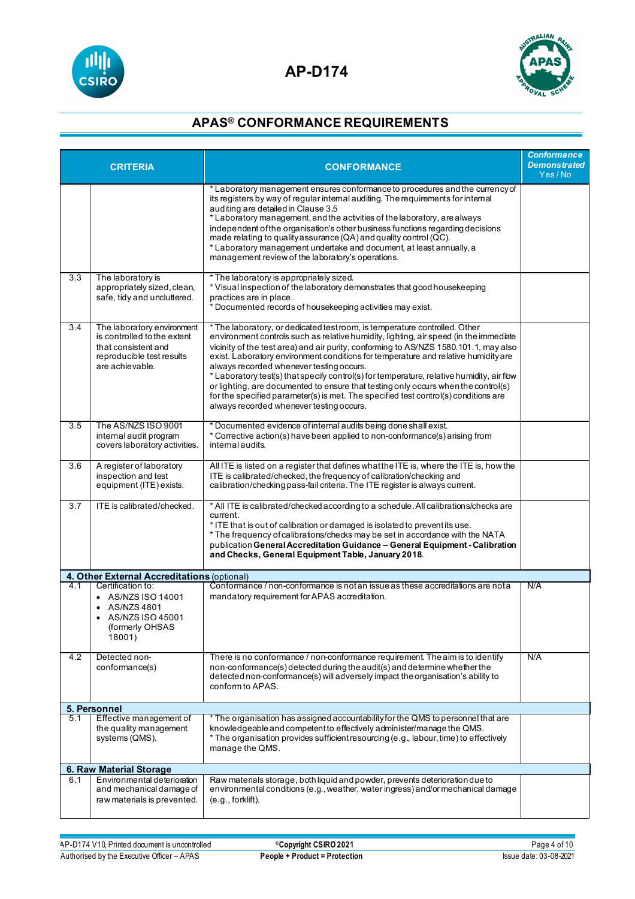



| <b>CRITERIA</b> |                                                                                                                                  | <b>CONFORMANCE</b>                                                                                                                                                                                                                                                                                                                                                                                                                                                                                                                                                                                                                                                                                                  | <b>Conformance</b><br><b>Demonstrated</b><br>Yes/No |
|-----------------|----------------------------------------------------------------------------------------------------------------------------------|---------------------------------------------------------------------------------------------------------------------------------------------------------------------------------------------------------------------------------------------------------------------------------------------------------------------------------------------------------------------------------------------------------------------------------------------------------------------------------------------------------------------------------------------------------------------------------------------------------------------------------------------------------------------------------------------------------------------|-----------------------------------------------------|
|                 |                                                                                                                                  | * Laboratory management ensures conformance to procedures and the currency of<br>its registers by way of regular internal auditing. The requirements for internal<br>auditing are detailed in Clause 3.5<br>* Laboratory management, and the activities of the laboratory, are always<br>independent of the organisation's other business functions regarding decisions<br>made relating to quality assurance (QA) and quality control (QC).<br>* Laboratory management undertake and document, at least annually, a<br>management review of the laboratory's operations.                                                                                                                                           |                                                     |
| 3.3             | The laboratory is<br>appropriately sized, clean,<br>safe, tidy and uncluttered.                                                  | * The laboratory is appropriately sized.<br>* Visual inspection of the laboratory demonstrates that good housekeeping<br>practices are in place.<br>* Documented records of housekeeping activities may exist.                                                                                                                                                                                                                                                                                                                                                                                                                                                                                                      |                                                     |
| 3.4             | The laboratory environment<br>is controlled to the extent<br>that consistent and<br>reproducible test results<br>are achievable. | * The laboratory, or dedicated test room, is temperature controlled. Other<br>environment controls such as relative humidity, lighting, air speed (in the immediate<br>vicinity of the test area) and air purity, conforming to AS/NZS 1580.101.1, may also<br>exist. Laboratory environment conditions for temperature and relative humidity are<br>always recorded whenever testing occurs.<br>* Laboratory test(s) that specify control(s) for temperature, relative humidity, air flow<br>or lighting, are documented to ensure that testing only occurs when the control(s)<br>for the specified parameter(s) is met. The specified test control(s) conditions are<br>always recorded whenever testing occurs. |                                                     |
| 3.5             | The AS/NZS ISO 9001<br>internal audit program<br>covers laboratory activities.                                                   | Documented evidence of internal audits being done shall exist.<br>* Corrective action(s) have been applied to non-conformance(s) arising from<br>internal audits.                                                                                                                                                                                                                                                                                                                                                                                                                                                                                                                                                   |                                                     |
| 3.6             | A register of laboratory<br>inspection and test<br>equipment (ITE) exists.                                                       | All ITE is listed on a register that defines what the ITE is, where the ITE is, how the<br>ITE is calibrated/checked, the frequency of calibration/checking and<br>calibration/checking pass-fail criteria. The ITE register is always current.                                                                                                                                                                                                                                                                                                                                                                                                                                                                     |                                                     |
| 3.7             | ITE is calibrated/checked.                                                                                                       | * All ITE is calibrated/checked according to a schedule. All calibrations/checks are<br>current.<br>* ITE that is out of calibration or damaged is isolated to preventits use.<br>* The frequency of calibrations/checks may be set in accordance with the NATA<br>publication General Accreditation Guidance - General Equipment - Calibration<br>and Checks, General Equipment Table, January 2018.                                                                                                                                                                                                                                                                                                               |                                                     |
|                 | 4. Other External Accreditations (optional)                                                                                      |                                                                                                                                                                                                                                                                                                                                                                                                                                                                                                                                                                                                                                                                                                                     |                                                     |
| 4.1             | Certification to:<br>• AS/NZS ISO 14001<br>AS/NZS 4801<br>AS/NZS ISO 45001<br>$\bullet$<br>(formerly OHSAS<br>18001)             | Conformance / non-conformance is not an issue as these accreditations are not a<br>mandatory requirement for APAS accreditation.                                                                                                                                                                                                                                                                                                                                                                                                                                                                                                                                                                                    | N/A                                                 |
| 4.2             | Detected non-<br>conformance(s)                                                                                                  | There is no conformance / non-conformance requirement. The aim is to identify<br>non-conformance(s) detected during the audit(s) and determine whether the<br>detected non-conformance(s) will adversely impact the organisation's ability to<br>conform to APAS.                                                                                                                                                                                                                                                                                                                                                                                                                                                   | N/A                                                 |
|                 | 5. Personnel                                                                                                                     |                                                                                                                                                                                                                                                                                                                                                                                                                                                                                                                                                                                                                                                                                                                     |                                                     |
| 5.1             | Effective management of<br>the quality management<br>systems (QMS).                                                              | The organisation has assigned accountability for the QMS to personnel that are<br>knowledgeable and competent to effectively administer/manage the QMS.<br>* The organisation provides sufficient resourcing (e.g., labour, time) to effectively<br>manage the QMS.                                                                                                                                                                                                                                                                                                                                                                                                                                                 |                                                     |
|                 | 6. Raw Material Storage                                                                                                          |                                                                                                                                                                                                                                                                                                                                                                                                                                                                                                                                                                                                                                                                                                                     |                                                     |
| 6.1             | Environmental deterioration<br>and mechanical damage of<br>raw materials is prevented.                                           | Raw materials storage, both liquid and powder, prevents deterioration due to<br>environmental conditions (e.g., weather, water ingress) and/or mechanical damage<br>$(e.g.,$ forklift).                                                                                                                                                                                                                                                                                                                                                                                                                                                                                                                             |                                                     |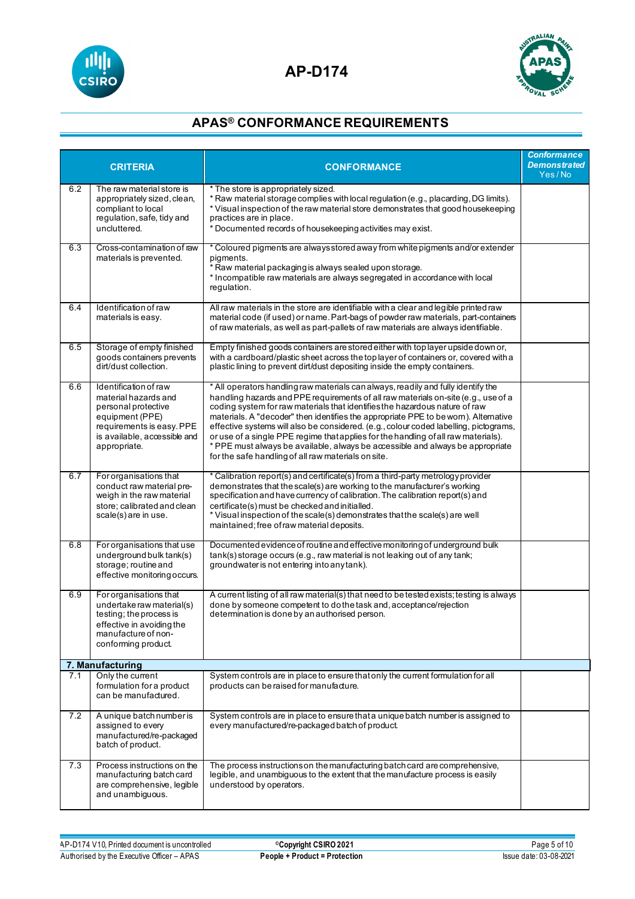



| <b>CRITERIA</b> |                                                                                                                                                                                                                                                                                                                                                                                                                                           | <b>CONFORMANCE</b>                                                                                                                                                                                                                                                                                                                                                                                                                                                                                                                                                                                                                                                    | <b>Conformance</b><br><b>Demonstrated</b><br>Yes/No |
|-----------------|-------------------------------------------------------------------------------------------------------------------------------------------------------------------------------------------------------------------------------------------------------------------------------------------------------------------------------------------------------------------------------------------------------------------------------------------|-----------------------------------------------------------------------------------------------------------------------------------------------------------------------------------------------------------------------------------------------------------------------------------------------------------------------------------------------------------------------------------------------------------------------------------------------------------------------------------------------------------------------------------------------------------------------------------------------------------------------------------------------------------------------|-----------------------------------------------------|
| 6.2             | * The store is appropriately sized.<br>The raw material store is<br>* Raw material storage complies with local regulation (e.g., placarding, DG limits).<br>appropriately sized, clean,<br>compliant to local<br>* Visual inspection of the raw material store demonstrates that good housekeeping<br>regulation, safe, tidy and<br>practices are in place.<br>uncluttered.<br>* Documented records of housekeeping activities may exist. |                                                                                                                                                                                                                                                                                                                                                                                                                                                                                                                                                                                                                                                                       |                                                     |
| 6.3             | * Coloured pigments are always stored away from white pigments and/or extender<br>Cross-contamination of raw<br>pigments.<br>materials is prevented.<br>* Raw material packaging is always sealed upon storage.<br>* Incompatible raw materials are always segregated in accordance with local<br>requlation.                                                                                                                             |                                                                                                                                                                                                                                                                                                                                                                                                                                                                                                                                                                                                                                                                       |                                                     |
| 6.4             | All raw materials in the store are identifiable with a clear and legible printed raw<br>Identification of raw<br>material code (if used) or name. Part-bags of powder raw materials, part-containers<br>materials is easy.<br>of raw materials, as well as part-pallets of raw materials are always identifiable.                                                                                                                         |                                                                                                                                                                                                                                                                                                                                                                                                                                                                                                                                                                                                                                                                       |                                                     |
| 6.5             | Storage of empty finished<br>goods containers prevents<br>dirt/dust collection.                                                                                                                                                                                                                                                                                                                                                           | Empty finished goods containers are stored either with top layer upside down or,<br>with a cardboard/plastic sheet across the top layer of containers or, covered with a<br>plastic lining to prevent dirt/dust depositing inside the empty containers.                                                                                                                                                                                                                                                                                                                                                                                                               |                                                     |
| 6.6             | Identification of raw<br>material hazards and<br>personal protective<br>equipment (PPE)<br>requirements is easy. PPE<br>is available, accessible and<br>appropriate.                                                                                                                                                                                                                                                                      | * All operators handling raw materials can always, readily and fully identify the<br>handling hazards and PPE requirements of all raw materials on-site (e.g., use of a<br>coding system for raw materials that identifies the hazardous nature of raw<br>materials. A "decoder" then identifies the appropriate PPE to be worn). Alternative<br>effective systems will also be considered. (e.g., colour coded labelling, pictograms,<br>or use of a single PPE regime that applies for the handling of all raw materials).<br>* PPE must always be available, always be accessible and always be appropriate<br>for the safe handling of all raw materials on site. |                                                     |
| 6.7             | For organisations that<br>conduct raw material pre-<br>weigh in the raw material<br>store; calibrated and clean<br>scale(s) are in use.                                                                                                                                                                                                                                                                                                   | * Calibration report(s) and certificate(s) from a third-party metrology provider<br>demonstrates that the scale(s) are working to the manufacturer's working<br>specification and have currency of calibration. The calibration report(s) and<br>certificate(s) must be checked and initialled.<br>* Visual inspection of the scale(s) demonstrates that the scale(s) are well<br>maintained, free of raw material deposits.                                                                                                                                                                                                                                          |                                                     |
| 6.8             | For organisations that use<br>underground bulk tank(s)<br>storage; routine and<br>effective monitoring occurs.                                                                                                                                                                                                                                                                                                                            | Documented evidence of routine and effective monitoring of underground bulk<br>tank(s) storage occurs (e.g., raw material is not leaking out of any tank;<br>groundwater is not entering into any tank).                                                                                                                                                                                                                                                                                                                                                                                                                                                              |                                                     |
| 6.9             | For organisations that<br>undertake raw material(s)<br>testing; the process is<br>effective in avoiding the<br>manufacture of non-<br>conforming product.                                                                                                                                                                                                                                                                                 | A current listing of all raw material(s) that need to be tested exists; testing is always<br>done by someone competent to do the task and, acceptance/rejection<br>determination is done by an authorised person.                                                                                                                                                                                                                                                                                                                                                                                                                                                     |                                                     |
|                 | 7. Manufacturing                                                                                                                                                                                                                                                                                                                                                                                                                          |                                                                                                                                                                                                                                                                                                                                                                                                                                                                                                                                                                                                                                                                       |                                                     |
| 7.1             | Only the current<br>formulation for a product<br>can be manufactured.                                                                                                                                                                                                                                                                                                                                                                     | System controls are in place to ensure that only the current formulation for all<br>products can be raised for manufacture.                                                                                                                                                                                                                                                                                                                                                                                                                                                                                                                                           |                                                     |
| 7.2             | A unique batch number is<br>assigned to every<br>manufactured/re-packaged<br>batch of product.                                                                                                                                                                                                                                                                                                                                            | System controls are in place to ensure that a unique batch number is assigned to<br>every manufactured/re-packaged batch of product.                                                                                                                                                                                                                                                                                                                                                                                                                                                                                                                                  |                                                     |
| 7.3             | Process instructions on the<br>manufacturing batch card<br>are comprehensive, legible<br>and unambiguous.                                                                                                                                                                                                                                                                                                                                 | The process instructions on the manufacturing batch card are comprehensive,<br>legible, and unambiguous to the extent that the manufacture process is easily<br>understood by operators.                                                                                                                                                                                                                                                                                                                                                                                                                                                                              |                                                     |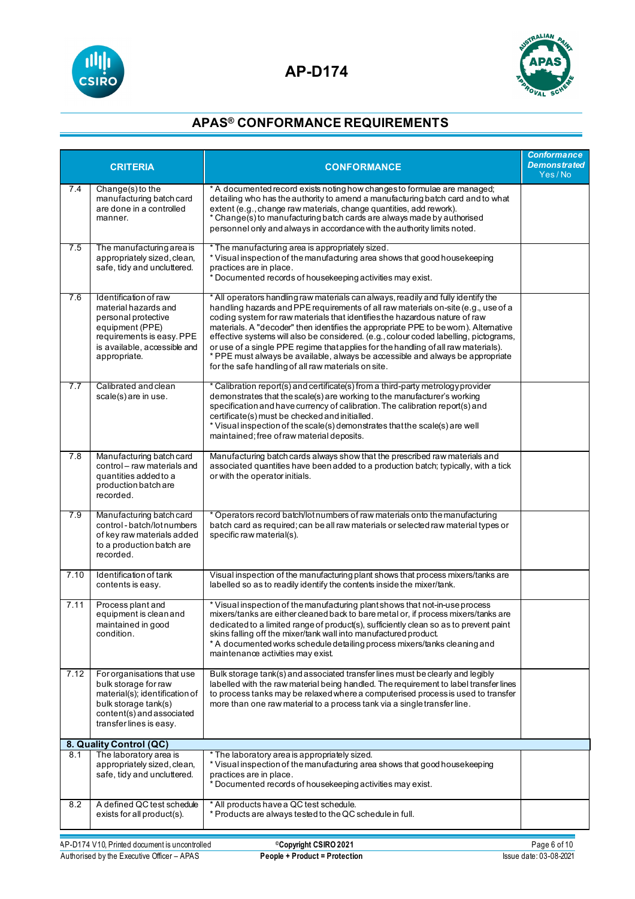



| <b>CRITERIA</b> |                                                                                                                                                                      | <b>CONFORMANCE</b>                                                                                                                                                                                                                                                                                                                                                                                                                                                                                                                                                                                                                                                    | <b>Conformance</b><br><b>Demonstrated</b><br>Yes/No |
|-----------------|----------------------------------------------------------------------------------------------------------------------------------------------------------------------|-----------------------------------------------------------------------------------------------------------------------------------------------------------------------------------------------------------------------------------------------------------------------------------------------------------------------------------------------------------------------------------------------------------------------------------------------------------------------------------------------------------------------------------------------------------------------------------------------------------------------------------------------------------------------|-----------------------------------------------------|
| 7.4             | Change(s) to the<br>manufacturing batch card<br>are done in a controlled<br>manner.                                                                                  | * A documented record exists noting how changes to formulae are managed;<br>detailing who has the authority to amend a manufacturing batch card and to what<br>extent (e.g., change raw materials, change quantities, add rework).<br>* Change(s) to manufacturing batch cards are always made by authorised<br>personnel only and always in accordance with the authority limits noted.                                                                                                                                                                                                                                                                              |                                                     |
| 7.5             | The manufacturing area is<br>appropriately sized, clean,<br>safe, tidy and uncluttered.                                                                              | * The manufacturing area is appropriately sized.<br>* Visual inspection of the manufacturing area shows that good housekeeping<br>practices are in place.<br>* Documented records of housekeeping activities may exist.                                                                                                                                                                                                                                                                                                                                                                                                                                               |                                                     |
| 7.6             | Identification of raw<br>material hazards and<br>personal protective<br>equipment (PPE)<br>requirements is easy. PPE<br>is available, accessible and<br>appropriate. | * All operators handling raw materials can always, readily and fully identify the<br>handling hazards and PPE requirements of all raw materials on-site (e.g., use of a<br>coding system for raw materials that identifies the hazardous nature of raw<br>materials. A "decoder" then identifies the appropriate PPE to be worn). Alternative<br>effective systems will also be considered. (e.g., colour coded labelling, pictograms,<br>or use of a single PPE regime that applies for the handling of all raw materials).<br>* PPE must always be available, always be accessible and always be appropriate<br>for the safe handling of all raw materials on site. |                                                     |
| 7.7             | Calibrated and clean<br>scale(s) are in use.                                                                                                                         | * Calibration report(s) and certificate(s) from a third-party metrology provider<br>demonstrates that the scale(s) are working to the manufacturer's working<br>specification and have currency of calibration. The calibration report(s) and<br>certificate(s) must be checked and initialled.<br>* Visual inspection of the scale(s) demonstrates that the scale(s) are well<br>maintained; free of raw material deposits.                                                                                                                                                                                                                                          |                                                     |
| 7.8             | Manufacturing batch card<br>control – raw materials and<br>quantities added to a<br>production batch are<br>recorded.                                                | Manufacturing batch cards always show that the prescribed raw materials and<br>associated quantities have been added to a production batch; typically, with a tick<br>or with the operator initials.                                                                                                                                                                                                                                                                                                                                                                                                                                                                  |                                                     |
| 7.9             | Manufacturing batch card<br>control-batch/lotnumbers<br>of key raw materials added<br>to a production batch are<br>recorded.                                         | * Operators record batch/lot numbers of raw materials onto the manufacturing<br>batch card as required; can be all raw materials or selected raw material types or<br>specific raw material(s).                                                                                                                                                                                                                                                                                                                                                                                                                                                                       |                                                     |
| 7.10            | Identification of tank<br>contents is easy.                                                                                                                          | Visual inspection of the manufacturing plant shows that process mixers/tanks are<br>labelled so as to readily identify the contents inside the mixer/tank.                                                                                                                                                                                                                                                                                                                                                                                                                                                                                                            |                                                     |
| 7.11            | Process plant and<br>equipment is clean and<br>maintained in good<br>condition.                                                                                      | * Visual inspection of the manufacturing plant shows that not-in-use process<br>mixers/tanks are either cleaned back to bare metal or, if process mixers/tanks are<br>dedicated to a limited range of product(s), sufficiently clean so as to prevent paint<br>skins falling off the mixer/tank wall into manufactured product.<br>* A documented works schedule detailing process mixers/tanks cleaning and<br>maintenance activities may exist.                                                                                                                                                                                                                     |                                                     |
| 7.12            | For organisations that use<br>bulk storage for raw<br>material(s); identification of<br>bulk storage tank(s)<br>content(s) and associated<br>transfer lines is easy. | Bulk storage tank(s) and associated transfer lines must be clearly and legibly<br>labelled with the raw material being handled. The requirement to label transfer lines<br>to process tanks may be relaxed where a computerised process is used to transfer<br>more than one raw material to a process tank via a single transfer line.                                                                                                                                                                                                                                                                                                                               |                                                     |
|                 | 8. Quality Control (QC)                                                                                                                                              |                                                                                                                                                                                                                                                                                                                                                                                                                                                                                                                                                                                                                                                                       |                                                     |
| 8.1             | The laboratory area is<br>appropriately sized, clean,<br>safe, tidy and uncluttered.                                                                                 | * The laboratory area is appropriately sized.<br>* Visual inspection of the manufacturing area shows that good housekeeping<br>practices are in place.<br>* Documented records of housekeeping activities may exist.                                                                                                                                                                                                                                                                                                                                                                                                                                                  |                                                     |
| 8.2             | A defined QC test schedule<br>exists for all product(s).                                                                                                             | * All products have a QC test schedule.<br>* Products are always tested to the QC schedule in full.                                                                                                                                                                                                                                                                                                                                                                                                                                                                                                                                                                   |                                                     |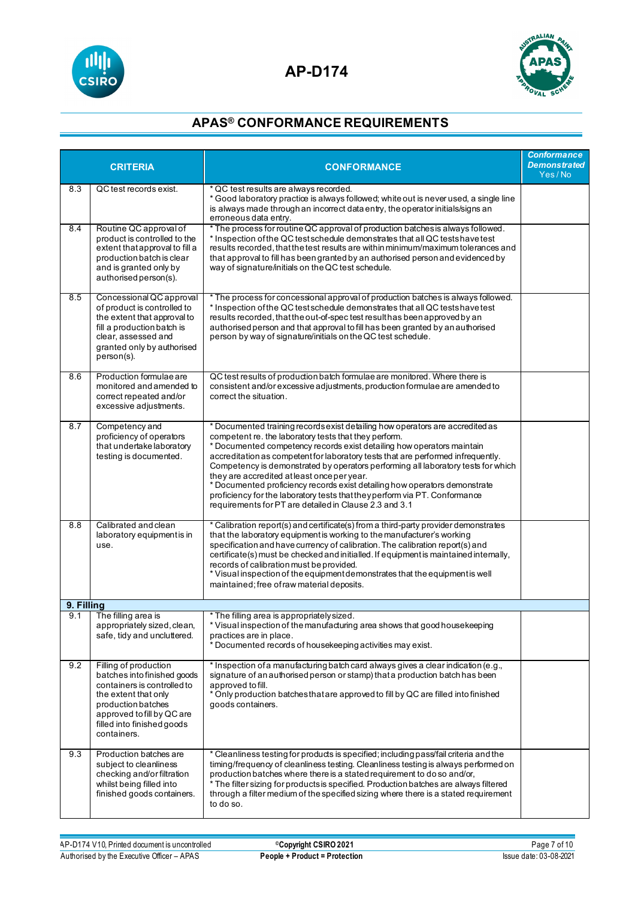



| <b>CRITERIA</b> |                                                                                                                                                                                                              | <b>CONFORMANCE</b>                                                                                                                                                                                                                                                                                                                                                                                                                                                                                                                                                                                                                                             | <b>Conformance</b><br><b>Demonstrated</b><br>Yes/No |
|-----------------|--------------------------------------------------------------------------------------------------------------------------------------------------------------------------------------------------------------|----------------------------------------------------------------------------------------------------------------------------------------------------------------------------------------------------------------------------------------------------------------------------------------------------------------------------------------------------------------------------------------------------------------------------------------------------------------------------------------------------------------------------------------------------------------------------------------------------------------------------------------------------------------|-----------------------------------------------------|
| 8.3             | QC test records exist.                                                                                                                                                                                       | * QC test results are always recorded.<br>* Good laboratory practice is always followed; white out is never used, a single line<br>is always made through an incorrect data entry, the operator initials/signs an<br>erroneous data entry.                                                                                                                                                                                                                                                                                                                                                                                                                     |                                                     |
| 8.4             | Routine QC approval of<br>product is controlled to the<br>extent that approval to fill a<br>production batch is clear<br>and is granted only by<br>authorised person(s).                                     | * The process for routine QC approval of production batches is always followed.<br>* Inspection of the QC test schedule demonstrates that all QC tests have test<br>results recorded, that the test results are within minimum/maximum tolerances and<br>that approval to fill has been granted by an authorised person and evidenced by<br>way of signature/initials on the QC test schedule.                                                                                                                                                                                                                                                                 |                                                     |
| 8.5             | Concessional QC approval<br>of product is controlled to<br>the extent that approval to<br>fill a production batch is<br>clear, assessed and<br>granted only by authorised<br>person(s).                      | * The process for concessional approval of production batches is always followed.<br>* Inspection of the QC test schedule demonstrates that all QC tests have test<br>results recorded, that the out-of-spec test result has been approved by an<br>authorised person and that approval to fill has been granted by an authorised<br>person by way of signature/initials on the QC test schedule.                                                                                                                                                                                                                                                              |                                                     |
| 8.6             | Production formulae are<br>monitored and amended to<br>correct repeated and/or<br>excessive adjustments.                                                                                                     | QC test results of production batch formulae are monitored. Where there is<br>consistent and/or excessive adjustments, production formulae are amended to<br>correct the situation.                                                                                                                                                                                                                                                                                                                                                                                                                                                                            |                                                     |
| 8.7             | Competency and<br>proficiency of operators<br>that undertake laboratory<br>testing is documented.                                                                                                            | * Documented training records exist detailing how operators are accredited as<br>competent re. the laboratory tests that they perform.<br>* Documented competency records exist detailing how operators maintain<br>accreditation as competent for laboratory tests that are performed infrequently.<br>Competency is demonstrated by operators performing all laboratory tests for which<br>they are accredited at least once per year.<br>* Documented proficiency records exist detailing how operators demonstrate<br>proficiency for the laboratory tests that they perform via PT. Conformance<br>requirements for PT are detailed in Clause 2.3 and 3.1 |                                                     |
| 8.8             | Calibrated and clean<br>laboratory equipment is in<br>use.                                                                                                                                                   | * Calibration report(s) and certificate(s) from a third-party provider demonstrates<br>that the laboratory equipment is working to the manufacturer's working<br>specification and have currency of calibration. The calibration report(s) and<br>certificate(s) must be checked and initialled. If equipment is maintained internally,<br>records of calibration must be provided.<br>* Visual inspection of the equipment demonstrates that the equipment is well<br>maintained; free of raw material deposits.                                                                                                                                              |                                                     |
| 9. Filling      |                                                                                                                                                                                                              |                                                                                                                                                                                                                                                                                                                                                                                                                                                                                                                                                                                                                                                                |                                                     |
| 9.1             | The filling area is<br>appropriately sized, clean,<br>safe, tidy and uncluttered.                                                                                                                            | * The filling area is appropriately sized.<br>* Visual inspection of the manufacturing area shows that good housekeeping<br>practices are in place.<br>* Documented records of housekeeping activities may exist.                                                                                                                                                                                                                                                                                                                                                                                                                                              |                                                     |
| 9.2             | Filling of production<br>batches into finished goods<br>containers is controlled to<br>the extent that only<br>production batches<br>approved to fill by QC are<br>filled into finished goods<br>containers. | * Inspection of a manufacturing batch card always gives a clear indication (e.g.,<br>signature of an authorised person or stamp) that a production batch has been<br>approved to fill.<br>* Only production batches that are approved to fill by QC are filled into finished<br>goods containers.                                                                                                                                                                                                                                                                                                                                                              |                                                     |
| 9.3             | Production batches are<br>subject to cleanliness<br>checking and/or filtration<br>whilst being filled into<br>finished goods containers.                                                                     | * Cleanliness testing for products is specified; including pass/fail criteria and the<br>timing/frequency of cleanliness testing. Cleanliness testing is always performed on<br>production batches where there is a stated requirement to do so and/or,<br>* The filter sizing for products is specified. Production batches are always filtered<br>through a filter medium of the specified sizing where there is a stated requirement<br>to do so.                                                                                                                                                                                                           |                                                     |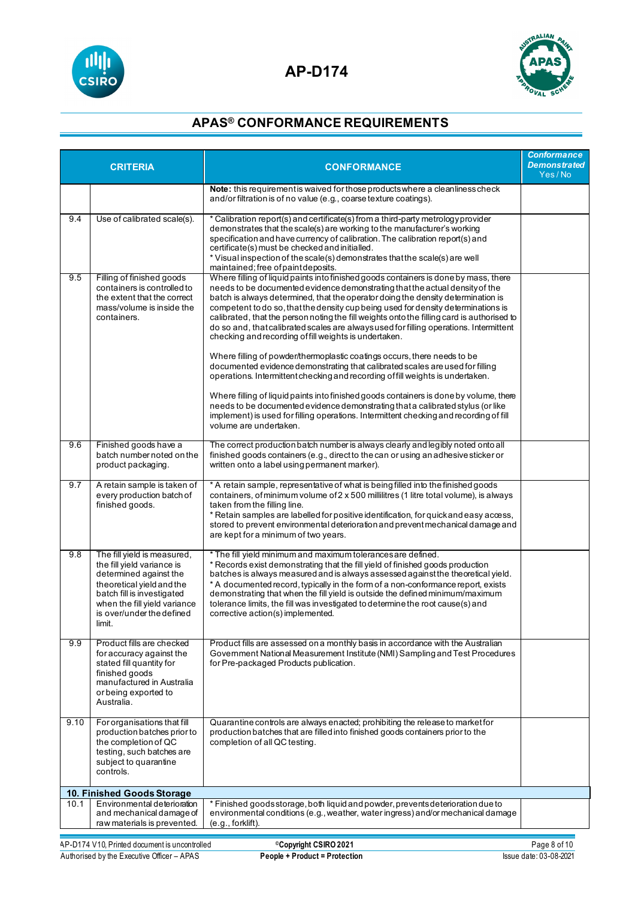



| <b>CRITERIA</b>                                                                                    |                                                                                                                                                                                                                       | <b>CONFORMANCE</b>                                                                                                                                                                                                                                                                                                                                                                                                                                                                                                                                                                                                                                                                                                                                                                                                                                                                                                                                                                                                         | <b>Conformance</b><br><b>Demonstrated</b><br>Yes/No |
|----------------------------------------------------------------------------------------------------|-----------------------------------------------------------------------------------------------------------------------------------------------------------------------------------------------------------------------|----------------------------------------------------------------------------------------------------------------------------------------------------------------------------------------------------------------------------------------------------------------------------------------------------------------------------------------------------------------------------------------------------------------------------------------------------------------------------------------------------------------------------------------------------------------------------------------------------------------------------------------------------------------------------------------------------------------------------------------------------------------------------------------------------------------------------------------------------------------------------------------------------------------------------------------------------------------------------------------------------------------------------|-----------------------------------------------------|
|                                                                                                    |                                                                                                                                                                                                                       | Note: this requirement is waived for those products where a cleanliness check<br>and/or filtration is of no value (e.g., coarse texture coatings).                                                                                                                                                                                                                                                                                                                                                                                                                                                                                                                                                                                                                                                                                                                                                                                                                                                                         |                                                     |
| 9.4                                                                                                | Use of calibrated scale(s).                                                                                                                                                                                           | * Calibration report(s) and certificate(s) from a third-party metrology provider<br>demonstrates that the scale(s) are working to the manufacturer's working<br>specification and have currency of calibration. The calibration report(s) and<br>certificate(s) must be checked and initialled.<br>* Visual inspection of the scale(s) demonstrates that the scale(s) are well<br>maintained; free of paint deposits.                                                                                                                                                                                                                                                                                                                                                                                                                                                                                                                                                                                                      |                                                     |
| 9.5                                                                                                | Filling of finished goods<br>containers is controlled to<br>the extent that the correct<br>mass/volume is inside the<br>containers.                                                                                   | Where filling of liquid paints into finished goods containers is done by mass, there<br>needs to be documented evidence demonstrating that the actual density of the<br>batch is always determined, that the operator doing the density determination is<br>competent to do so, that the density cup being used for density determinations is<br>calibrated, that the person noting the fill weights onto the filling card is authorised to<br>do so and, that calibrated scales are always used for filling operations. Intermittent<br>checking and recording of fill weights is undertaken.<br>Where filling of powder/thermoplastic coatings occurs, there needs to be<br>documented evidence demonstrating that calibrated scales are used for filling<br>operations. Intermittent checking and recording of fill weights is undertaken.<br>Where filling of liquid paints into finished goods containers is done by volume, there<br>needs to be documented evidence demonstrating that a calibrated stylus (or like |                                                     |
| 9.6                                                                                                | Finished goods have a<br>batch number noted on the<br>product packaging.                                                                                                                                              | implement) is used for filling operations. Intermittent checking and recording of fill<br>volume are undertaken.<br>The correct production batch number is always clearly and legibly noted onto all<br>finished goods containers (e.g., direct to the can or using an adhesive sticker or<br>written onto a label using permanent marker).                                                                                                                                                                                                                                                                                                                                                                                                                                                                                                                                                                                                                                                                                |                                                     |
| 9.7                                                                                                | A retain sample is taken of<br>every production batch of<br>finished goods.                                                                                                                                           | * A retain sample, representative of what is being filled into the finished goods<br>containers, of minimum volume of 2 x 500 millilitres (1 litre total volume), is always<br>taken from the filling line.<br>* Retain samples are labelled for positive identification, for quick and easy access,<br>stored to prevent environmental deterioration and prevent mechanical damage and<br>are kept for a minimum of two years.                                                                                                                                                                                                                                                                                                                                                                                                                                                                                                                                                                                            |                                                     |
| 9.8                                                                                                | The fill yield is measured,<br>the fill yield variance is<br>determined against the<br>theoretical yield and the<br>batch fill is investigated<br>when the fill yield variance<br>is over/under the defined<br>limit. | * The fill yield minimum and maximum tolerances are defined.<br>* Records exist demonstrating that the fill yield of finished goods production<br>batches is always measured and is always assessed against the theoretical yield.<br>* A documented record, typically in the form of a non-conformance report, exists<br>demonstrating that when the fill yield is outside the defined minimum/maximum<br>tolerance limits, the fill was investigated to determine the root cause(s) and<br>corrective action(s) implemented.                                                                                                                                                                                                                                                                                                                                                                                                                                                                                             |                                                     |
| 9.9                                                                                                | Product fills are checked<br>for accuracy against the<br>stated fill quantity for<br>finished goods<br>manufactured in Australia<br>or being exported to<br>Australia.                                                | Product fills are assessed on a monthly basis in accordance with the Australian<br>Government National Measurement Institute (NMI) Sampling and Test Procedures<br>for Pre-packaged Products publication.                                                                                                                                                                                                                                                                                                                                                                                                                                                                                                                                                                                                                                                                                                                                                                                                                  |                                                     |
| 9.10                                                                                               | For organisations that fill<br>production batches prior to<br>the completion of QC<br>testing, such batches are<br>subject to quarantine<br>controls.                                                                 | Quarantine controls are always enacted; prohibiting the release to market for<br>production batches that are filled into finished goods containers prior to the<br>completion of all QC testing.                                                                                                                                                                                                                                                                                                                                                                                                                                                                                                                                                                                                                                                                                                                                                                                                                           |                                                     |
|                                                                                                    | 10. Finished Goods Storage                                                                                                                                                                                            |                                                                                                                                                                                                                                                                                                                                                                                                                                                                                                                                                                                                                                                                                                                                                                                                                                                                                                                                                                                                                            |                                                     |
| 10.1                                                                                               | Environmental deterioration<br>and mechanical damage of<br>raw materials is prevented.                                                                                                                                | * Finished goods storage, both liquid and powder, prevents deterioration due to<br>environmental conditions (e.g., weather, water ingress) and/or mechanical damage<br>$(e.g.,$ forklift).                                                                                                                                                                                                                                                                                                                                                                                                                                                                                                                                                                                                                                                                                                                                                                                                                                 |                                                     |
| Page 8 of 10<br><sup>©</sup> Copyright CSIRO 2021<br>AP-D174 V10, Printed document is uncontrolled |                                                                                                                                                                                                                       |                                                                                                                                                                                                                                                                                                                                                                                                                                                                                                                                                                                                                                                                                                                                                                                                                                                                                                                                                                                                                            |                                                     |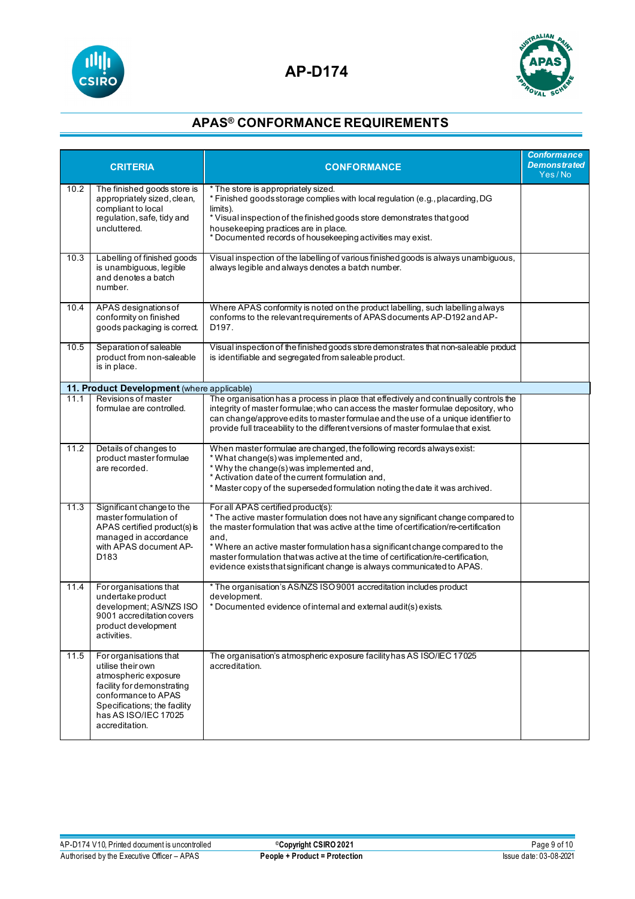



|      | <b>CRITERIA</b>                                                                                                                                                                                                                      | <b>CONFORMANCE</b>                                                                                                                                                                                                                                                                                                                                                                                                                                                      | <b>Conformance</b><br><b>Demonstrated</b><br>Yes/No |
|------|--------------------------------------------------------------------------------------------------------------------------------------------------------------------------------------------------------------------------------------|-------------------------------------------------------------------------------------------------------------------------------------------------------------------------------------------------------------------------------------------------------------------------------------------------------------------------------------------------------------------------------------------------------------------------------------------------------------------------|-----------------------------------------------------|
| 10.2 | The finished goods store is<br>appropriately sized, clean,<br>compliant to local<br>regulation, safe, tidy and<br>uncluttered                                                                                                        | * The store is appropriately sized.<br>* Finished goods storage complies with local regulation (e.g., placarding, DG<br>limits).<br>* Visual inspection of the finished goods store demonstrates that good<br>housekeeping practices are in place.<br>* Documented records of housekeeping activities may exist.                                                                                                                                                        |                                                     |
| 10.3 | Labelling of finished goods<br>Visual inspection of the labelling of various finished goods is always unambiguous,<br>is unambiguous, legible<br>always legible and always denotes a batch number.<br>and denotes a batch<br>number. |                                                                                                                                                                                                                                                                                                                                                                                                                                                                         |                                                     |
| 10.4 | APAS designations of<br>conformity on finished<br>goods packaging is correct.                                                                                                                                                        | Where APAS conformity is noted on the product labelling, such labelling always<br>conforms to the relevant requirements of APAS documents AP-D192 and AP-<br>D197.                                                                                                                                                                                                                                                                                                      |                                                     |
| 10.5 | Separation of saleable<br>product from non-saleable<br>is in place.                                                                                                                                                                  | Visual inspection of the finished goods store demonstrates that non-saleable product<br>is identifiable and segregated from saleable product.                                                                                                                                                                                                                                                                                                                           |                                                     |
|      | 11. Product Development (where applicable)                                                                                                                                                                                           |                                                                                                                                                                                                                                                                                                                                                                                                                                                                         |                                                     |
| 11.1 | Revisions of master<br>formulae are controlled.                                                                                                                                                                                      | The organisation has a process in place that effectively and continually controls the<br>integrity of master formulae; who can access the master formulae depository, who<br>can change/approve edits to master formulae and the use of a unique identifier to<br>provide full traceability to the different versions of master formulae that exist.                                                                                                                    |                                                     |
| 11.2 | Details of changes to<br>product master formulae<br>are recorded.                                                                                                                                                                    | When master formulae are changed, the following records always exist:<br>* What change(s) was implemented and,<br>* Why the change(s) was implemented and,<br>* Activation date of the current formulation and,<br>* Master copy of the superseded formulation noting the date it was archived.                                                                                                                                                                         |                                                     |
| 11.3 | Significant change to the<br>master formulation of<br>APAS certified product(s) is<br>managed in accordance<br>with APAS document AP-<br>D <sub>183</sub>                                                                            | For all APAS certified product(s):<br>* The active master formulation does not have any significant change compared to<br>the master formulation that was active at the time of certification/re-certification<br>and.<br>* Where an active master formulation has a significant change compared to the<br>master formulation that was active at the time of certification/re-certification,<br>evidence exists that significant change is always communicated to APAS. |                                                     |
| 11.4 | For organisations that<br>undertakeproduct<br>development; AS/NZS ISO<br>9001 accreditation covers<br>product development<br>activities.                                                                                             | * The organisation's AS/NZS ISO 9001 accreditation includes product<br>development.<br>* Documented evidence of internal and external audit(s) exists.                                                                                                                                                                                                                                                                                                                  |                                                     |
| 11.5 | For organisations that<br>utilise their own<br>atmospheric exposure<br>facility for demonstrating<br>conformance to APAS<br>Specifications; the facility<br>has AS ISO/IEC 17025<br>accreditation.                                   | The organisation's atmospheric exposure facility has AS ISO/IEC 17025<br>accreditation.                                                                                                                                                                                                                                                                                                                                                                                 |                                                     |